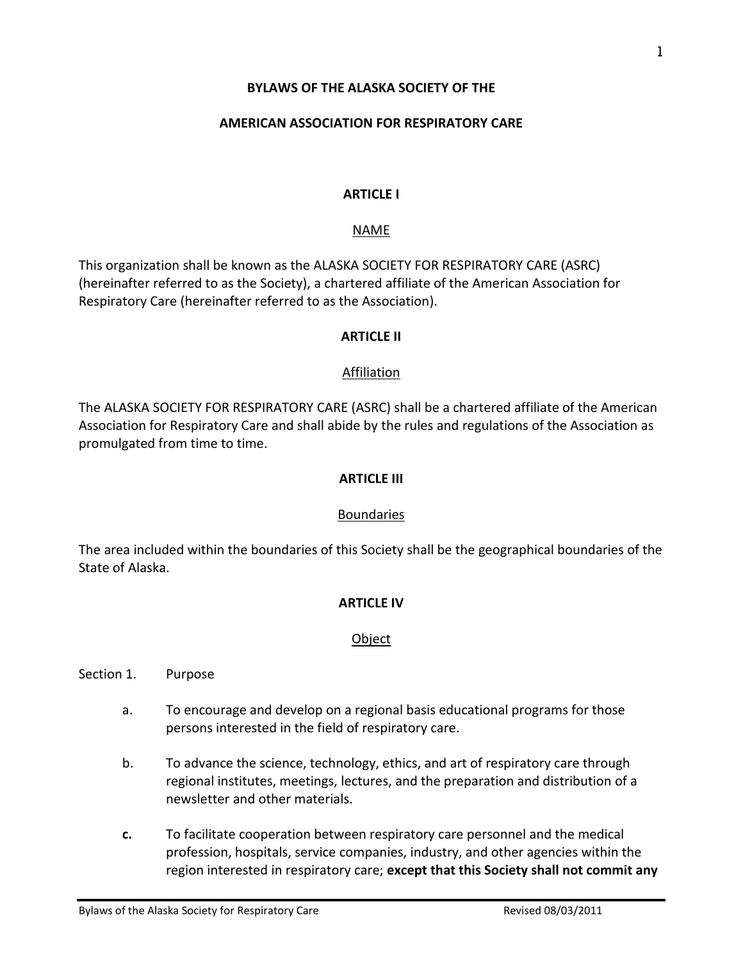#### **BYLAWS OF THE ALASKA SOCIETY OF THE**

#### **AMERICAN ASSOCIATION FOR RESPIRATORY CARE**

#### **ARTICLE I**

#### NAME

This organization shall be known as the ALASKA SOCIETY FOR RESPIRATORY CARE (ASRC) (hereinafter referred to as the Society), a chartered affiliate of the American Association for Respiratory Care (hereinafter referred to as the Association).

#### **ARTICLE II**

#### Affiliation

The ALASKA SOCIETY FOR RESPIRATORY CARE (ASRC) shall be a chartered affiliate of the American Association for Respiratory Care and shall abide by the rules and regulations of the Association as promulgated from time to time.

#### **ARTICLE III**

#### **Boundaries**

The area included within the boundaries of this Society shall be the geographical boundaries of the State of Alaska.

#### **ARTICLE IV**

#### Object

#### Section 1. Purpose

- a. To encourage and develop on a regional basis educational programs for those persons interested in the field of respiratory care.
- b. To advance the science, technology, ethics, and art of respiratory care through regional institutes, meetings, lectures, and the preparation and distribution of a newsletter and other materials.
- **c.** To facilitate cooperation between respiratory care personnel and the medical profession, hospitals, service companies, industry, and other agencies within the region interested in respiratory care; **except that this Society shall not commit any**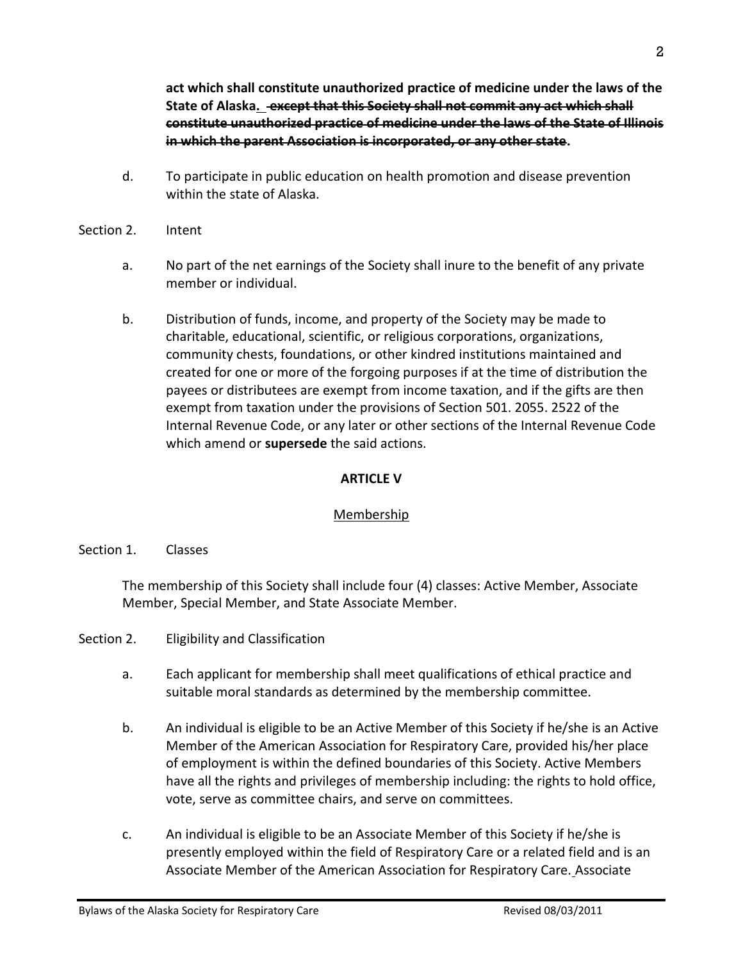**act which shall constitute unauthorized practice of medicine under the laws of the State of Alaska. except that this Society shall not commit any act which shall constitute unauthorized practice of medicine under the laws of the State of Illinois in which the parent Association is incorporated, or any other state.**

- d. To participate in public education on health promotion and disease prevention within the state of Alaska.
- Section 2. Intent
	- a. No part of the net earnings of the Society shall inure to the benefit of any private member or individual.
	- b. Distribution of funds, income, and property of the Society may be made to charitable, educational, scientific, or religious corporations, organizations, community chests, foundations, or other kindred institutions maintained and created for one or more of the forgoing purposes if at the time of distribution the payees or distributees are exempt from income taxation, and if the gifts are then exempt from taxation under the provisions of Section 501. 2055. 2522 of the Internal Revenue Code, or any later or other sections of the Internal Revenue Code which amend or **supersede** the said actions.

## **ARTICLE V**

# Membership

# Section 1. Classes

The membership of this Society shall include four (4) classes: Active Member, Associate Member, Special Member, and State Associate Member.

Section 2. Eligibility and Classification

- a. Each applicant for membership shall meet qualifications of ethical practice and suitable moral standards as determined by the membership committee.
- b. An individual is eligible to be an Active Member of this Society if he/she is an Active Member of the American Association for Respiratory Care, provided his/her place of employment is within the defined boundaries of this Society. Active Members have all the rights and privileges of membership including: the rights to hold office, vote, serve as committee chairs, and serve on committees.
- c. An individual is eligible to be an Associate Member of this Society if he/she is presently employed within the field of Respiratory Care or a related field and is an Associate Member of the American Association for Respiratory Care. Associate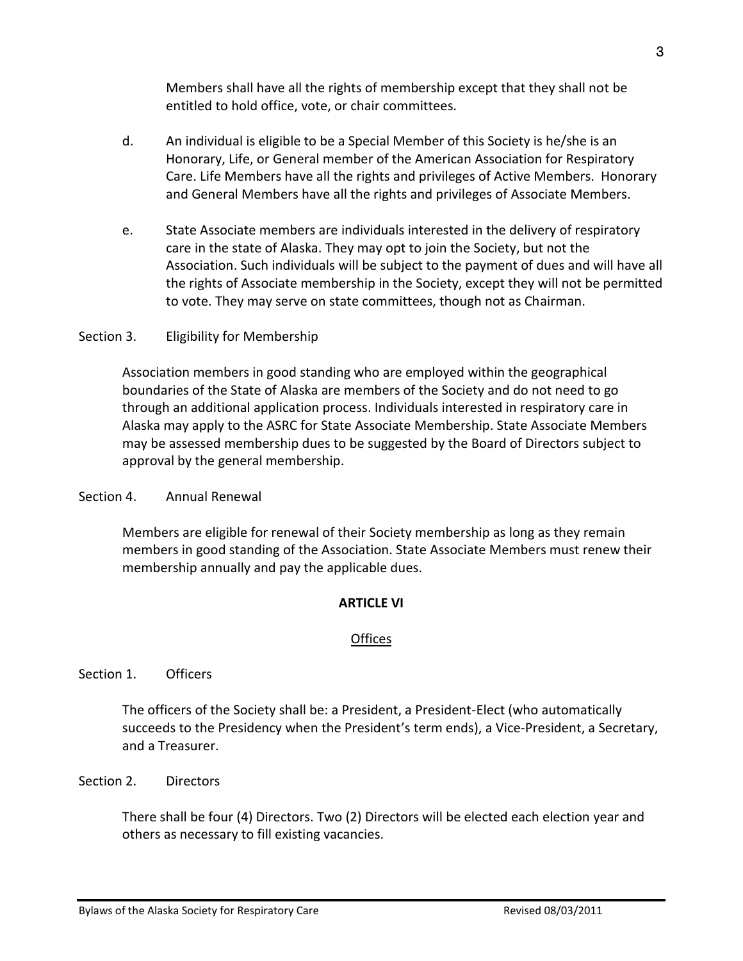Members shall have all the rights of membership except that they shall not be entitled to hold office, vote, or chair committees.

- d. An individual is eligible to be a Special Member of this Society is he/she is an Honorary, Life, or General member of the American Association for Respiratory Care. Life Members have all the rights and privileges of Active Members. Honorary and General Members have all the rights and privileges of Associate Members.
- e. State Associate members are individuals interested in the delivery of respiratory care in the state of Alaska. They may opt to join the Society, but not the Association. Such individuals will be subject to the payment of dues and will have all the rights of Associate membership in the Society, except they will not be permitted to vote. They may serve on state committees, though not as Chairman.

# Section 3. Eligibility for Membership

Association members in good standing who are employed within the geographical boundaries of the State of Alaska are members of the Society and do not need to go through an additional application process. Individuals interested in respiratory care in Alaska may apply to the ASRC for State Associate Membership. State Associate Members may be assessed membership dues to be suggested by the Board of Directors subject to approval by the general membership.

# Section 4. Annual Renewal

Members are eligible for renewal of their Society membership as long as they remain members in good standing of the Association. State Associate Members must renew their membership annually and pay the applicable dues.

# **ARTICLE VI**

# **Offices**

# Section 1. Officers

The officers of the Society shall be: a President, a President-Elect (who automatically succeeds to the Presidency when the President's term ends), a Vice-President, a Secretary, and a Treasurer.

# Section 2. Directors

There shall be four (4) Directors. Two (2) Directors will be elected each election year and others as necessary to fill existing vacancies.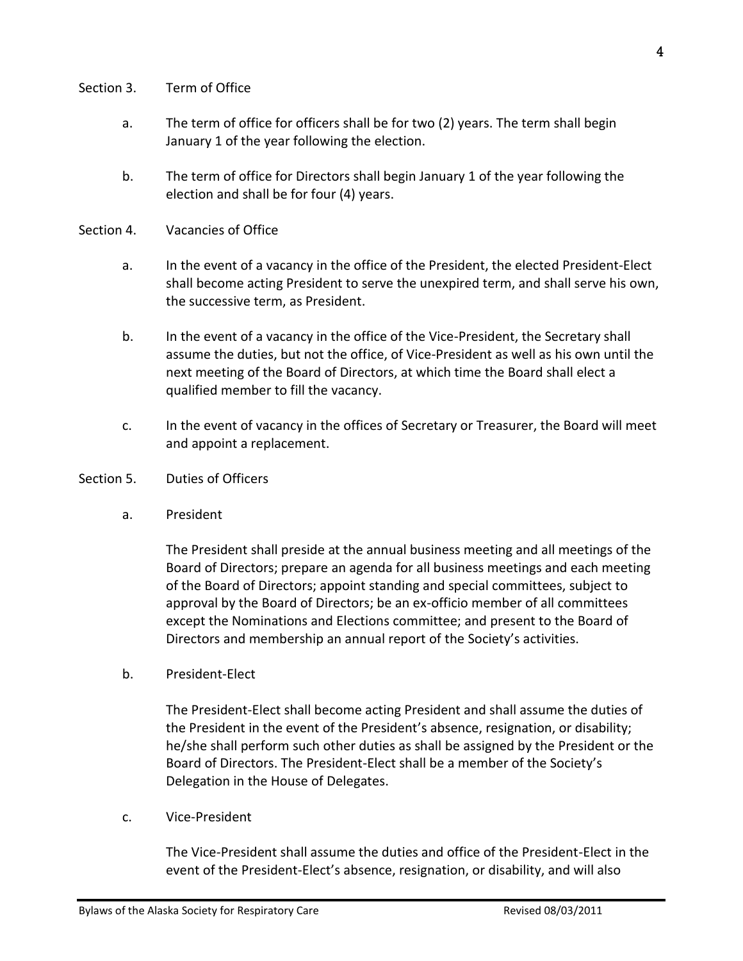#### Section 3. Term of Office

- a. The term of office for officers shall be for two (2) years. The term shall begin January 1 of the year following the election.
- b. The term of office for Directors shall begin January 1 of the year following the election and shall be for four (4) years.
- Section 4. Vacancies of Office
	- a. In the event of a vacancy in the office of the President, the elected President-Elect shall become acting President to serve the unexpired term, and shall serve his own, the successive term, as President.
	- b. In the event of a vacancy in the office of the Vice-President, the Secretary shall assume the duties, but not the office, of Vice-President as well as his own until the next meeting of the Board of Directors, at which time the Board shall elect a qualified member to fill the vacancy.
	- c. In the event of vacancy in the offices of Secretary or Treasurer, the Board will meet and appoint a replacement.

#### Section 5. Duties of Officers

a. President

The President shall preside at the annual business meeting and all meetings of the Board of Directors; prepare an agenda for all business meetings and each meeting of the Board of Directors; appoint standing and special committees, subject to approval by the Board of Directors; be an ex-officio member of all committees except the Nominations and Elections committee; and present to the Board of Directors and membership an annual report of the Society's activities.

b. President-Elect

The President-Elect shall become acting President and shall assume the duties of the President in the event of the President's absence, resignation, or disability; he/she shall perform such other duties as shall be assigned by the President or the Board of Directors. The President-Elect shall be a member of the Society's Delegation in the House of Delegates.

c. Vice-President

The Vice-President shall assume the duties and office of the President-Elect in the event of the President-Elect's absence, resignation, or disability, and will also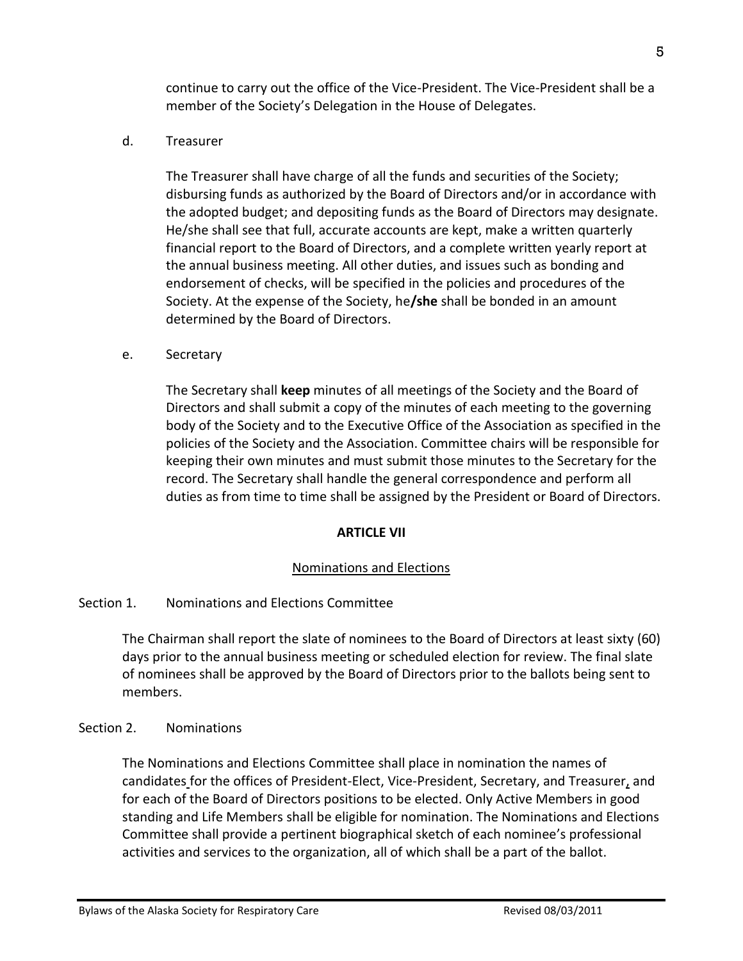continue to carry out the office of the Vice-President. The Vice-President shall be a member of the Society's Delegation in the House of Delegates.

d. Treasurer

The Treasurer shall have charge of all the funds and securities of the Society; disbursing funds as authorized by the Board of Directors and/or in accordance with the adopted budget; and depositing funds as the Board of Directors may designate. He/she shall see that full, accurate accounts are kept, make a written quarterly financial report to the Board of Directors, and a complete written yearly report at the annual business meeting. All other duties, and issues such as bonding and endorsement of checks, will be specified in the policies and procedures of the Society. At the expense of the Society, he**/she** shall be bonded in an amount determined by the Board of Directors.

e. Secretary

The Secretary shall **keep** minutes of all meetings of the Society and the Board of Directors and shall submit a copy of the minutes of each meeting to the governing body of the Society and to the Executive Office of the Association as specified in the policies of the Society and the Association. Committee chairs will be responsible for keeping their own minutes and must submit those minutes to the Secretary for the record. The Secretary shall handle the general correspondence and perform all duties as from time to time shall be assigned by the President or Board of Directors.

## **ARTICLE VII**

## Nominations and Elections

## Section 1. Nominations and Elections Committee

The Chairman shall report the slate of nominees to the Board of Directors at least sixty (60) days prior to the annual business meeting or scheduled election for review. The final slate of nominees shall be approved by the Board of Directors prior to the ballots being sent to members.

## Section 2. Nominations

The Nominations and Elections Committee shall place in nomination the names of candidates for the offices of President-Elect, Vice-President, Secretary, and Treasurer, and for each of the Board of Directors positions to be elected. Only Active Members in good standing and Life Members shall be eligible for nomination. The Nominations and Elections Committee shall provide a pertinent biographical sketch of each nominee's professional activities and services to the organization, all of which shall be a part of the ballot.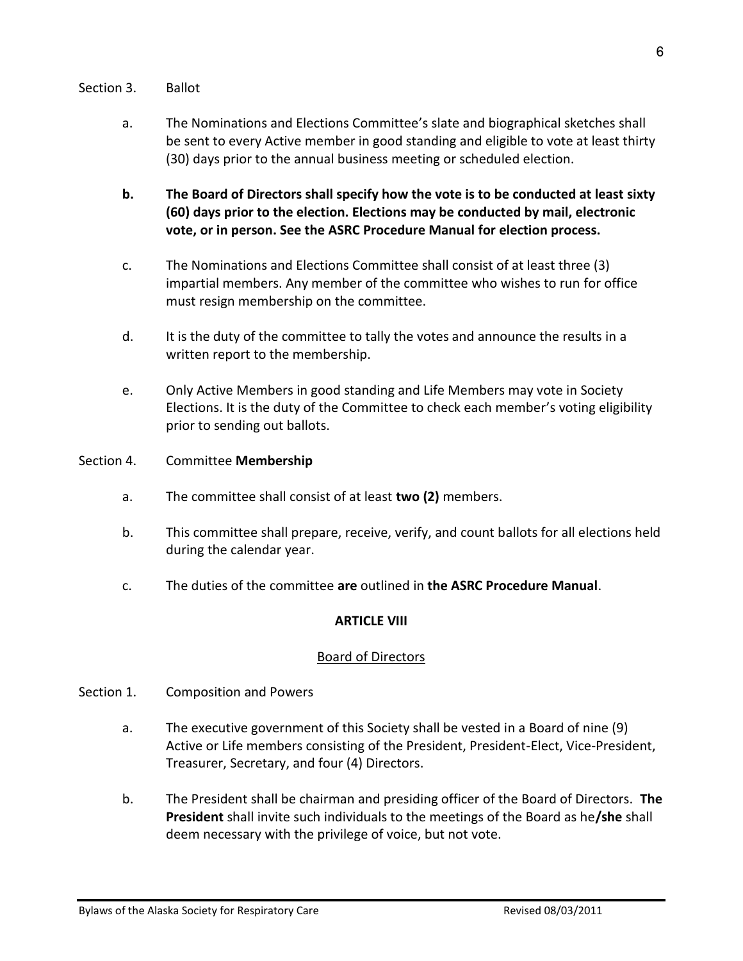#### Section 3. Ballot

- a. The Nominations and Elections Committee's slate and biographical sketches shall be sent to every Active member in good standing and eligible to vote at least thirty (30) days prior to the annual business meeting or scheduled election.
- **b. The Board of Directors shall specify how the vote is to be conducted at least sixty (60) days prior to the election. Elections may be conducted by mail, electronic vote, or in person. See the ASRC Procedure Manual for election process.**
- c. The Nominations and Elections Committee shall consist of at least three (3) impartial members. Any member of the committee who wishes to run for office must resign membership on the committee.
- d. It is the duty of the committee to tally the votes and announce the results in a written report to the membership.
- e. Only Active Members in good standing and Life Members may vote in Society Elections. It is the duty of the Committee to check each member's voting eligibility prior to sending out ballots.
- Section 4. Committee **Membership**
	- a. The committee shall consist of at least **two (2)** members.
	- b. This committee shall prepare, receive, verify, and count ballots for all elections held during the calendar year.
	- c. The duties of the committee **are** outlined in **the ASRC Procedure Manual**.

# **ARTICLE VIII**

# Board of Directors

## Section 1. Composition and Powers

- a. The executive government of this Society shall be vested in a Board of nine (9) Active or Life members consisting of the President, President-Elect, Vice-President, Treasurer, Secretary, and four (4) Directors.
- b. The President shall be chairman and presiding officer of the Board of Directors. **The President** shall invite such individuals to the meetings of the Board as he**/she** shall deem necessary with the privilege of voice, but not vote.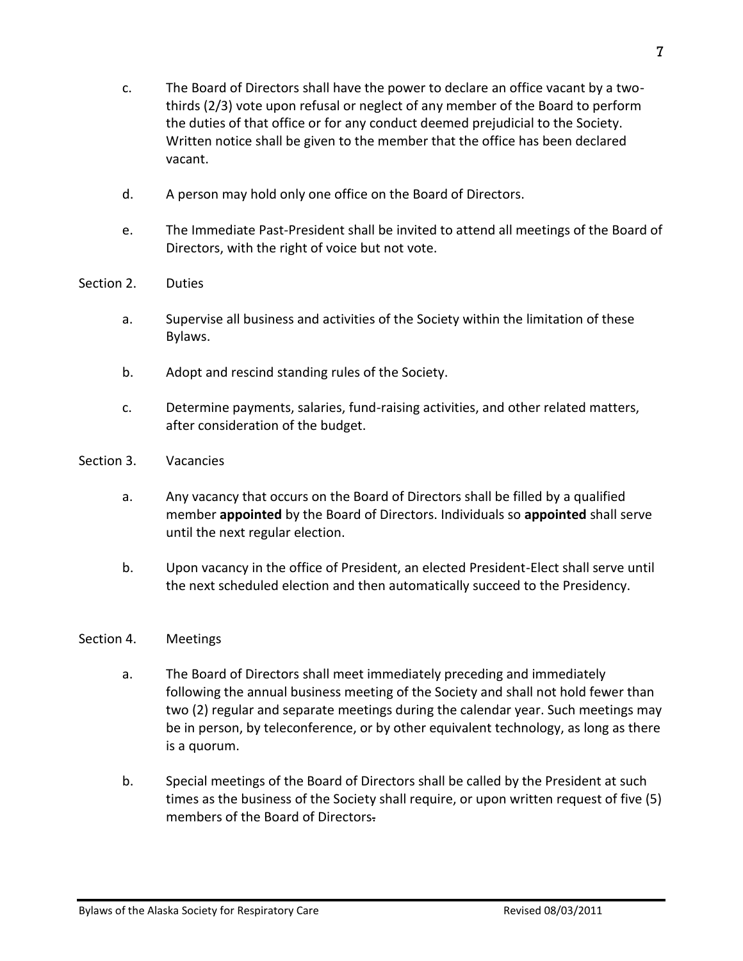Bylaws of the Alaska Society for Respiratory Care **Revised 08/03/2011** Revised 08/03/2011

- c. The Board of Directors shall have the power to declare an office vacant by a twothirds (2/3) vote upon refusal or neglect of any member of the Board to perform the duties of that office or for any conduct deemed prejudicial to the Society. Written notice shall be given to the member that the office has been declared vacant.
- d. A person may hold only one office on the Board of Directors.
- e. The Immediate Past-President shall be invited to attend all meetings of the Board of Directors, with the right of voice but not vote.
- Section 2. Duties
	- a. Supervise all business and activities of the Society within the limitation of these Bylaws.
	- b. Adopt and rescind standing rules of the Society.
	- c. Determine payments, salaries, fund-raising activities, and other related matters, after consideration of the budget.
- Section 3. Vacancies
	- a. Any vacancy that occurs on the Board of Directors shall be filled by a qualified member **appointed** by the Board of Directors. Individuals so **appointed** shall serve until the next regular election.
	- b. Upon vacancy in the office of President, an elected President-Elect shall serve until the next scheduled election and then automatically succeed to the Presidency.

# Section 4. Meetings

- a. The Board of Directors shall meet immediately preceding and immediately following the annual business meeting of the Society and shall not hold fewer than two (2) regular and separate meetings during the calendar year. Such meetings may be in person, by teleconference, or by other equivalent technology, as long as there is a quorum.
- b. Special meetings of the Board of Directors shall be called by the President at such times as the business of the Society shall require, or upon written request of five (5) members of the Board of Directors.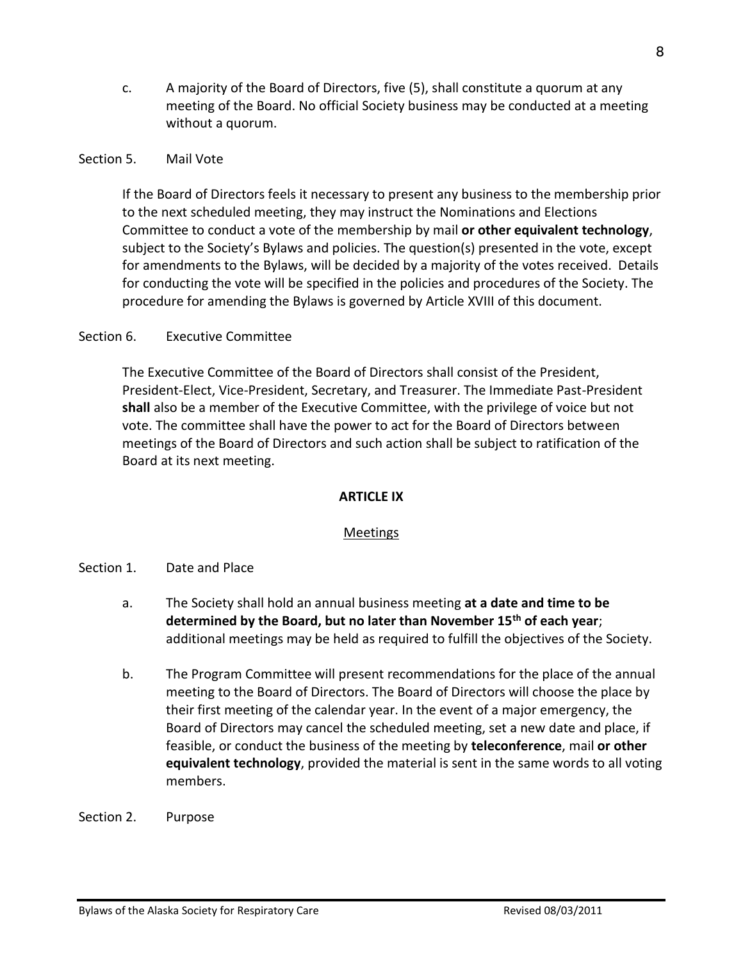c. A majority of the Board of Directors, five (5), shall constitute a quorum at any meeting of the Board. No official Society business may be conducted at a meeting without a quorum.

## Section 5. Mail Vote

If the Board of Directors feels it necessary to present any business to the membership prior to the next scheduled meeting, they may instruct the Nominations and Elections Committee to conduct a vote of the membership by mail **or other equivalent technology**, subject to the Society's Bylaws and policies. The question(s) presented in the vote, except for amendments to the Bylaws, will be decided by a majority of the votes received. Details for conducting the vote will be specified in the policies and procedures of the Society. The procedure for amending the Bylaws is governed by Article XVIII of this document.

## Section 6. Executive Committee

The Executive Committee of the Board of Directors shall consist of the President, President-Elect, Vice-President, Secretary, and Treasurer. The Immediate Past-President **shall** also be a member of the Executive Committee, with the privilege of voice but not vote. The committee shall have the power to act for the Board of Directors between meetings of the Board of Directors and such action shall be subject to ratification of the Board at its next meeting.

## **ARTICLE IX**

## Meetings

- Section 1. Date and Place
	- a. The Society shall hold an annual business meeting **at a date and time to be determined by the Board, but no later than November 15th of each year**; additional meetings may be held as required to fulfill the objectives of the Society.
	- b. The Program Committee will present recommendations for the place of the annual meeting to the Board of Directors. The Board of Directors will choose the place by their first meeting of the calendar year. In the event of a major emergency, the Board of Directors may cancel the scheduled meeting, set a new date and place, if feasible, or conduct the business of the meeting by **teleconference**, mail **or other equivalent technology**, provided the material is sent in the same words to all voting members.

Section 2. Purpose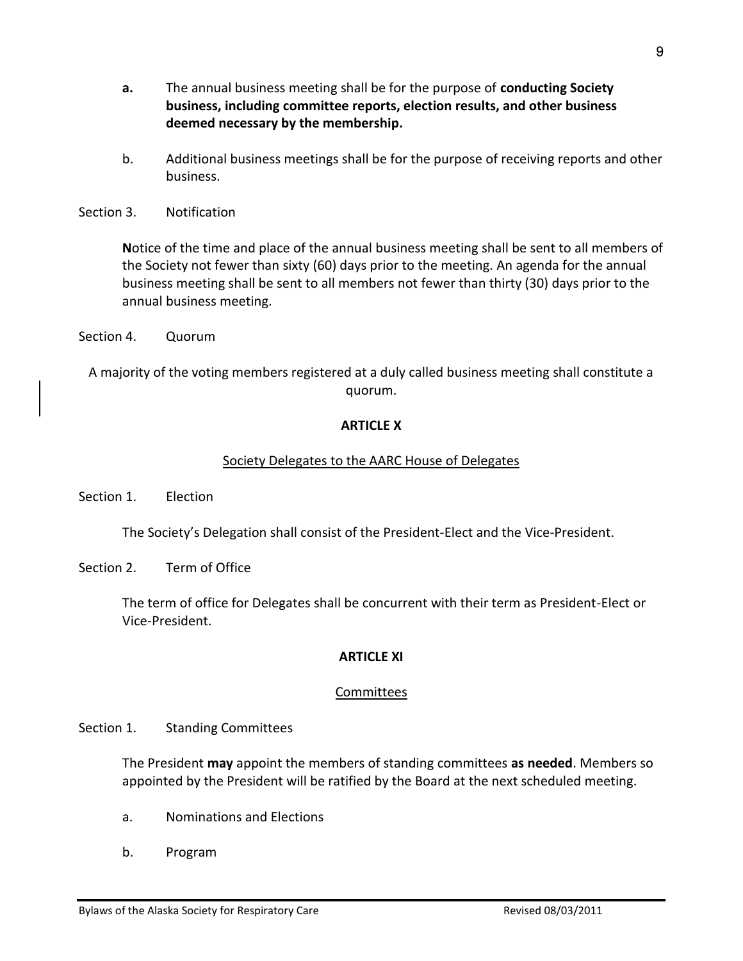- **a.** The annual business meeting shall be for the purpose of **conducting Society business, including committee reports, election results, and other business deemed necessary by the membership.**
- b. Additional business meetings shall be for the purpose of receiving reports and other business.
- Section 3. Notification

**N**otice of the time and place of the annual business meeting shall be sent to all members of the Society not fewer than sixty (60) days prior to the meeting. An agenda for the annual business meeting shall be sent to all members not fewer than thirty (30) days prior to the annual business meeting.

Section 4. Quorum

A majority of the voting members registered at a duly called business meeting shall constitute a quorum.

## **ARTICLE X**

#### Society Delegates to the AARC House of Delegates

Section 1. Election

The Society's Delegation shall consist of the President-Elect and the Vice-President.

Section 2. Term of Office

The term of office for Delegates shall be concurrent with their term as President-Elect or Vice-President.

## **ARTICLE XI**

#### **Committees**

Section 1. Standing Committees

The President **may** appoint the members of standing committees **as needed**. Members so appointed by the President will be ratified by the Board at the next scheduled meeting.

- a. Nominations and Elections
- b. Program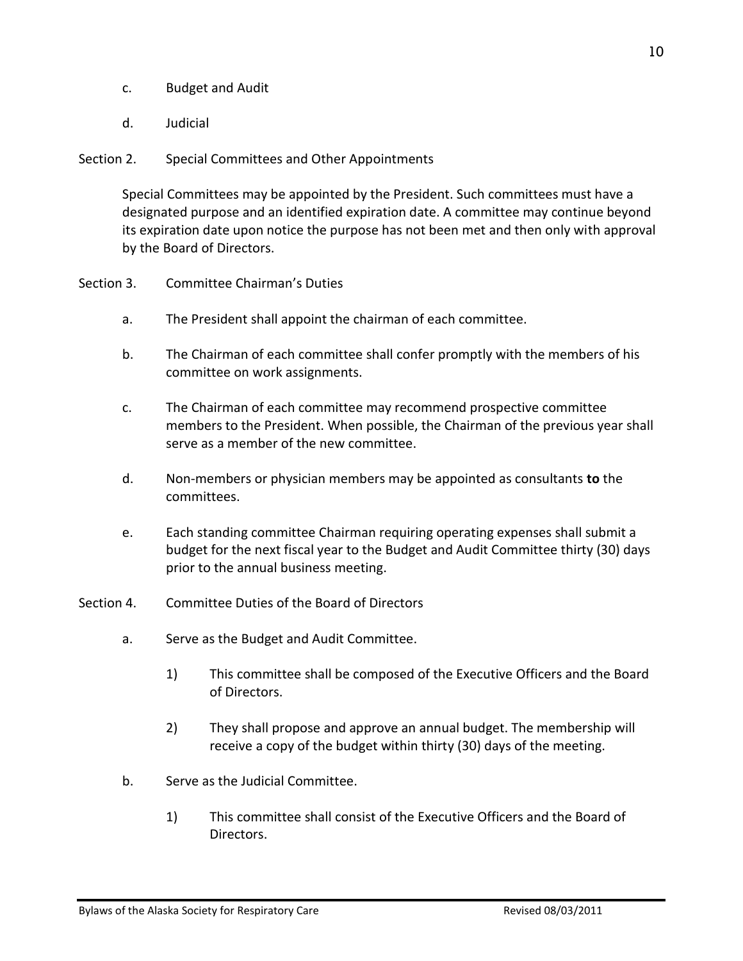- c. Budget and Audit
- d. Judicial

## Section 2. Special Committees and Other Appointments

Special Committees may be appointed by the President. Such committees must have a designated purpose and an identified expiration date. A committee may continue beyond its expiration date upon notice the purpose has not been met and then only with approval by the Board of Directors.

- Section 3. Committee Chairman's Duties
	- a. The President shall appoint the chairman of each committee.
	- b. The Chairman of each committee shall confer promptly with the members of his committee on work assignments.
	- c. The Chairman of each committee may recommend prospective committee members to the President. When possible, the Chairman of the previous year shall serve as a member of the new committee.
	- d. Non-members or physician members may be appointed as consultants **to** the committees.
	- e. Each standing committee Chairman requiring operating expenses shall submit a budget for the next fiscal year to the Budget and Audit Committee thirty (30) days prior to the annual business meeting.
- Section 4. Committee Duties of the Board of Directors
	- a. Serve as the Budget and Audit Committee.
		- 1) This committee shall be composed of the Executive Officers and the Board of Directors.
		- 2) They shall propose and approve an annual budget. The membership will receive a copy of the budget within thirty (30) days of the meeting.
	- b. Serve as the Judicial Committee.
		- 1) This committee shall consist of the Executive Officers and the Board of Directors.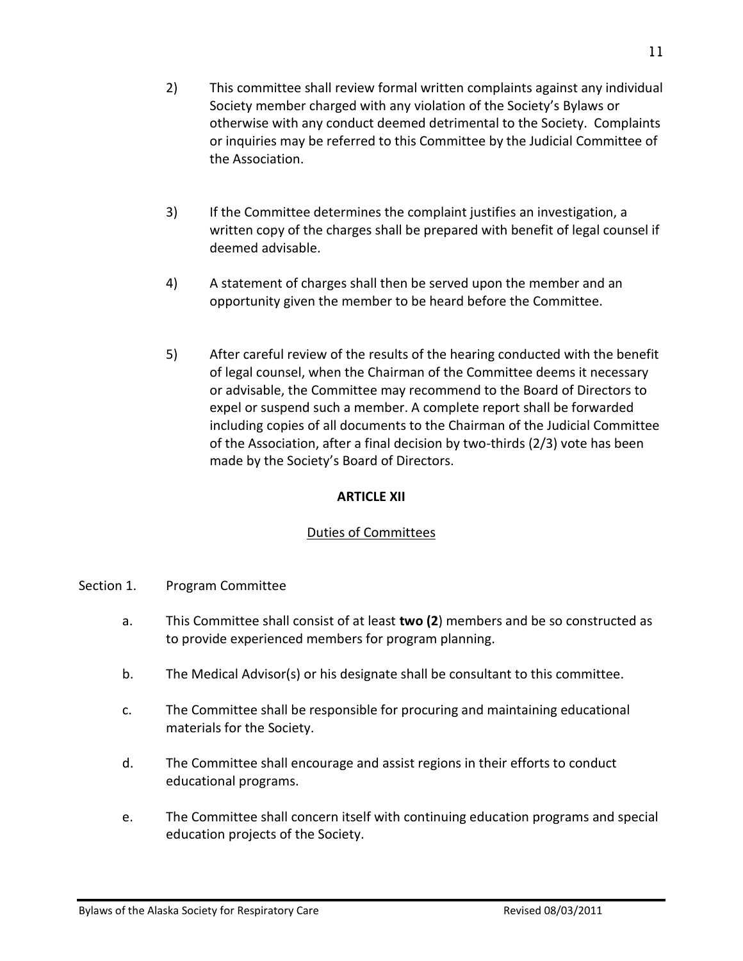- 2) This committee shall review formal written complaints against any individual Society member charged with any violation of the Society's Bylaws or otherwise with any conduct deemed detrimental to the Society. Complaints or inquiries may be referred to this Committee by the Judicial Committee of the Association.
- 3) If the Committee determines the complaint justifies an investigation, a written copy of the charges shall be prepared with benefit of legal counsel if deemed advisable.
- 4) A statement of charges shall then be served upon the member and an opportunity given the member to be heard before the Committee.
- 5) After careful review of the results of the hearing conducted with the benefit of legal counsel, when the Chairman of the Committee deems it necessary or advisable, the Committee may recommend to the Board of Directors to expel or suspend such a member. A complete report shall be forwarded including copies of all documents to the Chairman of the Judicial Committee of the Association, after a final decision by two-thirds (2/3) vote has been made by the Society's Board of Directors.

# **ARTICLE XII**

# Duties of Committees

- Section 1. Program Committee
	- a. This Committee shall consist of at least **two (2**) members and be so constructed as to provide experienced members for program planning.
	- b. The Medical Advisor(s) or his designate shall be consultant to this committee.
	- c. The Committee shall be responsible for procuring and maintaining educational materials for the Society.
	- d. The Committee shall encourage and assist regions in their efforts to conduct educational programs.
	- e. The Committee shall concern itself with continuing education programs and special education projects of the Society.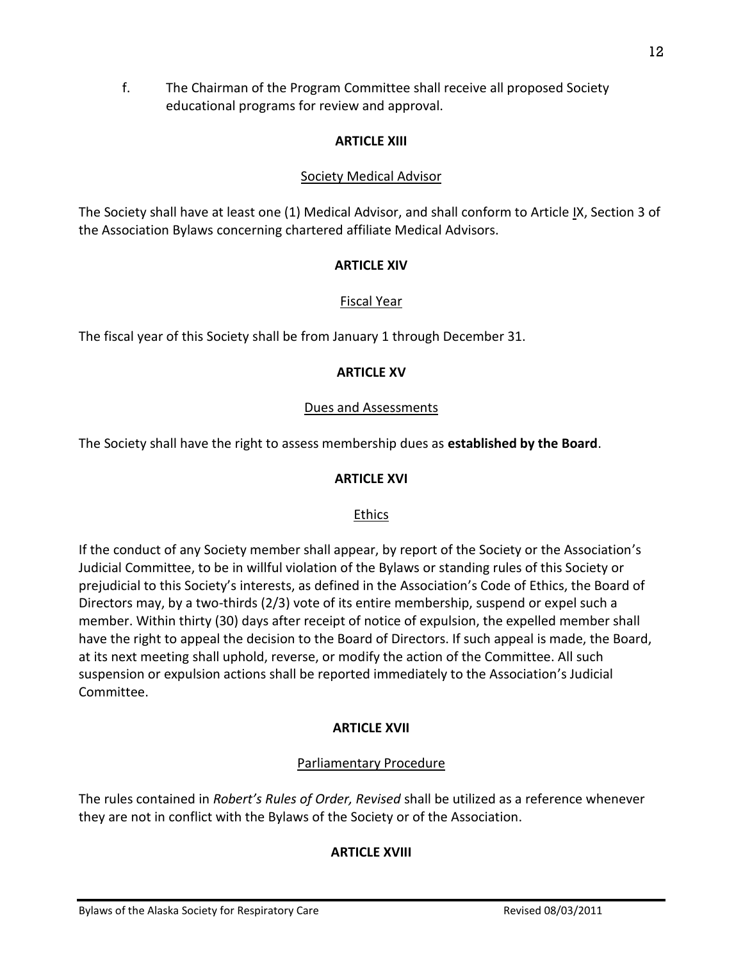f. The Chairman of the Program Committee shall receive all proposed Society educational programs for review and approval.

# **ARTICLE XIII**

# Society Medical Advisor

The Society shall have at least one (1) Medical Advisor, and shall conform to Article IX, Section 3 of the Association Bylaws concerning chartered affiliate Medical Advisors.

# **ARTICLE XIV**

# Fiscal Year

The fiscal year of this Society shall be from January 1 through December 31.

# **ARTICLE XV**

# Dues and Assessments

The Society shall have the right to assess membership dues as **established by the Board**.

# **ARTICLE XVI**

# Ethics

If the conduct of any Society member shall appear, by report of the Society or the Association's Judicial Committee, to be in willful violation of the Bylaws or standing rules of this Society or prejudicial to this Society's interests, as defined in the Association's Code of Ethics, the Board of Directors may, by a two-thirds (2/3) vote of its entire membership, suspend or expel such a member. Within thirty (30) days after receipt of notice of expulsion, the expelled member shall have the right to appeal the decision to the Board of Directors. If such appeal is made, the Board, at its next meeting shall uphold, reverse, or modify the action of the Committee. All such suspension or expulsion actions shall be reported immediately to the Association's Judicial Committee.

# **ARTICLE XVII**

# Parliamentary Procedure

The rules contained in *Robert's Rules of Order, Revised* shall be utilized as a reference whenever they are not in conflict with the Bylaws of the Society or of the Association.

# **ARTICLE XVIII**